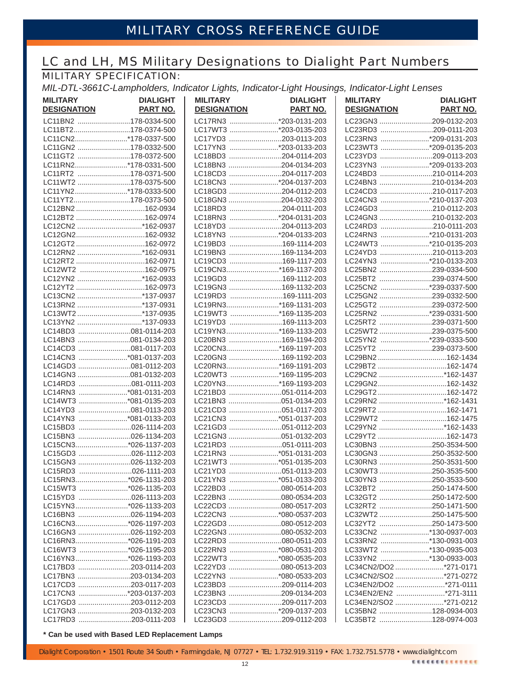# LC and LH, MS Military Designations to Dialight Part Numbers

## MILITARY SPECIFICATION:

*MIL-DTL-3661C-Lampholders, Indicator Lights, Indicator-Light Housings, Indicator-Light Lenses*

| <b>MILITARY</b><br><b>DESIGNATION</b>        | <b>DIALIGHT</b><br><b>PART NO.</b> | <b>MILITARY</b><br><b>DESIGNATION</b>         | <b>DIALIGHT</b><br><b>PART NO.</b> | <b>MILITARY</b><br><b>DESIGNATION</b> | <b>DIALIGHT</b><br><b>PART NO.</b>           |
|----------------------------------------------|------------------------------------|-----------------------------------------------|------------------------------------|---------------------------------------|----------------------------------------------|
| LC11BN2 178-0334-500                         |                                    | LC17RN3 *203-0131-203                         |                                    |                                       | LC23GN3 209-0132-203                         |
| LC11BT2178-0374-500                          |                                    | LC17WT3 *203-0135-203                         |                                    |                                       | LC23RD3 209-0111-203                         |
| LC11CN2*178-0337-500                         |                                    | LC17YD3 203-0113-203                          |                                    |                                       | LC23RN3 *209-0131-203                        |
| LC11GN2 178-0332-500                         |                                    | LC17YN3 *203-0133-203                         |                                    |                                       | LC23WT3 *209-0135-203                        |
| LC11GT2 178-0372-500                         |                                    | LC18BD3 204-0114-203                          |                                    |                                       | LC23YD3 209-0113-203                         |
| LC11RN2*178-0331-500                         |                                    | LC18BN3 204-0134-203                          |                                    |                                       | LC23YN3 *209-0133-203                        |
| LC11RT2 178-0371-500                         |                                    | LC18CD3 204-0117-203                          |                                    |                                       | LC24BD3 210-0114-203                         |
| LC11WT2 178-0375-500                         |                                    | LC18CN3 *204-0137-203                         |                                    |                                       | LC24BN3 210-0134-203                         |
| LC11YN2*178-0333-500                         |                                    | LC18GD3 204-0112-203                          |                                    |                                       | LC24CD3 210-0117-203                         |
| LC11YT2178-0373-500                          |                                    | LC18GN3 204-0132-203                          |                                    |                                       | LC24CN3 *210-0137-203                        |
| LC12BN2162-0934                              |                                    | LC18RD3 204-0111-203                          |                                    |                                       | LC24GD3 210-0112-203                         |
|                                              |                                    | LC18RN3 *204-0131-203                         |                                    |                                       | LC24GN3 210-0132-203                         |
| LC12CN2 *162-0937                            |                                    | LC18YD3 204-0113-203                          |                                    |                                       | LC24RD3 210-0111-203                         |
| LC12GN2162-0932                              |                                    | LC18YN3 *204-0133-203                         |                                    |                                       | LC24RN3 *210-0131-203                        |
| LC12GT2162-0972                              |                                    | LC19BD3 169-1114-203                          |                                    |                                       | LC24WT3 *210-0135-203                        |
| LC12RN2 *162-0931                            |                                    | LC19BN3 169-1134-203                          |                                    |                                       | LC24YD3 210-0113-203                         |
|                                              |                                    | LC19CD3 169-1117-203                          |                                    |                                       | LC24YN3 *210-0133-203                        |
| LC12WT2 162-0975                             |                                    | LC19CN3*169-1137-203                          |                                    |                                       | LC25BN2 239-0334-500                         |
|                                              |                                    | LC19GD3 169-1112-203                          |                                    |                                       | LC25BT2 239-0374-500                         |
| LC12YT2 162-0973                             |                                    | LC19GN3 169-1132-203                          |                                    |                                       | LC25CN2 *239-0337-500                        |
| LC13CN2 *137-0937                            |                                    | LC19RD3 169-1111-203                          |                                    |                                       | LC25GN2 239-0332-500                         |
| LC13RN2 *137-0931                            |                                    | LC19RN3*169-1131-203                          |                                    |                                       | LC25GT2 239-0372-500                         |
| LC13WT2*137-0935                             |                                    | LC19WT3 *169-1135-203                         |                                    |                                       | LC25RN2 *239-0331-500                        |
| LC13YN2 *137-0933                            |                                    | LC19YD3 169-1113-203                          |                                    |                                       | LC25RT2 239-0371-500                         |
| LC14BD3 081-0114-203                         |                                    | LC19YN3*169-1133-203                          |                                    |                                       | LC25WT2 239-0375-500                         |
| LC14BN3 081-0134-203                         |                                    | LC20BN3 169-1194-203                          |                                    |                                       | LC25YN2 *239-0333-500                        |
| LC14CD3 081-0117-203                         |                                    | LC20CN3*169-1197-203                          |                                    |                                       | LC25YT2 239-0373-500                         |
| LC14CN3 *081-0137-203                        |                                    | LC20GN3 169-1192-203                          |                                    |                                       | LC29BN2162-1434                              |
| LC14GD3 081-0112-203                         |                                    | LC20RN3*169-1191-203                          |                                    |                                       |                                              |
| LC14GN3 081-0132-203                         |                                    | LC20WT3 *169-1195-203                         |                                    |                                       | LC29CN2 *162-1437                            |
| LC14RD3 081-0111-203                         |                                    | LC20YN3*169-1193-203                          |                                    |                                       |                                              |
| LC14RN3 *081-0131-203                        |                                    | LC21BD3 051-0114-203                          |                                    |                                       |                                              |
| LC14WT3 *081-0135-203                        |                                    | LC21BN3 051-0134-203                          |                                    |                                       | LC29RN2 *162-1431                            |
| LC14YD3 081-0113-203                         |                                    | LC21CD3 051-0117-203                          |                                    |                                       |                                              |
| LC14YN3 *081-0133-203                        |                                    | LC21CN3 *051-0137-203                         |                                    |                                       | LC29WT2 162-1475                             |
| LC15BD3 026-1114-203                         |                                    | LC21GD3 051-0112-203                          |                                    |                                       | LC29YN2 *162-1433                            |
| LC15BN3 026-1134-203                         |                                    |                                               |                                    |                                       |                                              |
| LC15CN3*026-1137-203                         |                                    | LC21RD3 051-0111-203                          |                                    |                                       | LC30BN3 250-3534-500                         |
| LC15GD3 026-1112-203                         |                                    | LC21RN3 *051-0131-203                         |                                    |                                       | LC30GN3 250-3532-500                         |
| LC15GN3 026-1132-203                         |                                    | LC21WT3 *051-0135-203                         |                                    |                                       | LC30RN3 250-3531-500                         |
| LC15RD3 026-1111-203                         |                                    | LC21YD3 051-0113-203                          |                                    |                                       | LC30WT3 250-3535-500                         |
| LC15RN3*026-1131-203                         |                                    | LC21YN3 *051-0133-203                         |                                    |                                       | LC30YN3 250-3533-500                         |
| LC15WT3 *026-1135-203                        |                                    |                                               |                                    |                                       | LC32BT2 250-1474-500                         |
| LC15YD3 026-1113-203<br>LC15YN3*026-1133-203 |                                    | LC22BN3 080-0534-203                          |                                    |                                       | LC32GT2 250-1472-500                         |
|                                              |                                    | LC22CD3 080-0517-203<br>LC22CN3 *080-0537-203 |                                    |                                       | LC32RT2 250-1471-500                         |
| LC16BN3 026-1194-203<br>LC16CN3*026-1197-203 |                                    | LC22GD3 080-0512-203                          |                                    |                                       | LC32WT2 250-1475-500<br>LC32YT2 250-1473-500 |
| LC16GN3 026-1192-203                         |                                    | LC22GN3 080-0532-203                          |                                    |                                       | LC33CN2 *130-0937-003                        |
| LC16RN3*026-1191-203                         |                                    | LC22RD3 080-0511-203                          |                                    |                                       | LC33RN2 *130-0931-003                        |
| LC16WT3 *026-1195-203                        |                                    | LC22RN3 *080-0531-203                         |                                    |                                       | LC33WT2 *130-0935-003                        |
| LC16YN3*026-1193-203                         |                                    | LC22WT3 *080-0535-203                         |                                    |                                       | LC33YN2 *130-0933-003                        |
| LC17BD3 203-0114-203                         |                                    | LC22YD3 080-0513-203                          |                                    |                                       | LC34CN2/DO2 *271-0171                        |
| LC17BN3 203-0134-203                         |                                    | LC22YN3 *080-0533-203                         |                                    |                                       | LC34CN2/SO2 *271-0272                        |
| LC17CD3 203-0117-203                         |                                    | LC23BD3 209-0114-203                          |                                    |                                       | LC34EN2/DO2 *271-0111                        |
| LC17CN3 *203-0137-203                        |                                    | LC23BN3 209-0134-203                          |                                    |                                       | LC34EN2/EN2 *271-3111                        |
| LC17GD3 203-0112-203                         |                                    | LC23CD3 209-0117-203                          |                                    |                                       | LC34EN2/SO2 *271-0212                        |
| LC17GN3 203-0132-203                         |                                    | LC23CN3 *209-0137-203                         |                                    |                                       | LC35BN2 128-0934-003                         |
| LC17RD3 203-0111-203                         |                                    | LC23GD3 209-0112-203                          |                                    |                                       | LC35BT2 128-0974-003                         |

**\* Can be used with Based LED Replacement Lamps**